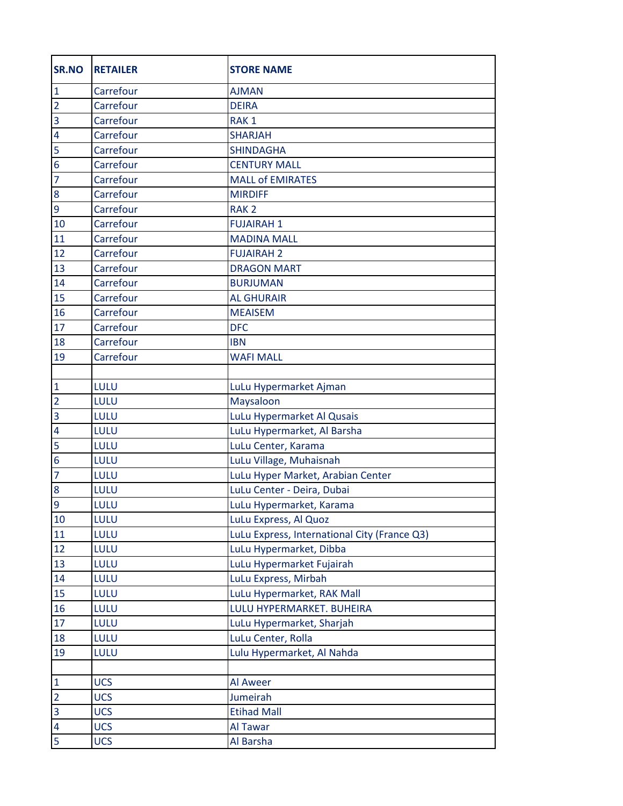| <b>SR.NO</b>            | <b>RETAILER</b> | <b>STORE NAME</b>                            |
|-------------------------|-----------------|----------------------------------------------|
| $\mathbf{1}$            | Carrefour       | <b>AJMAN</b>                                 |
| $\overline{2}$          | Carrefour       | <b>DEIRA</b>                                 |
| $\overline{3}$          | Carrefour       | RAK <sub>1</sub>                             |
| $\overline{4}$          | Carrefour       | <b>SHARJAH</b>                               |
| 5                       | Carrefour       | <b>SHINDAGHA</b>                             |
| $\overline{6}$          | Carrefour       | <b>CENTURY MALL</b>                          |
| $\overline{7}$          | Carrefour       | <b>MALL of EMIRATES</b>                      |
| 8                       | Carrefour       | <b>MIRDIFF</b>                               |
| $\overline{9}$          | Carrefour       | RAK <sub>2</sub>                             |
| 10                      | Carrefour       | <b>FUJAIRAH1</b>                             |
| 11                      | Carrefour       | <b>MADINA MALL</b>                           |
| 12                      | Carrefour       | <b>FUJAIRAH 2</b>                            |
| 13                      | Carrefour       | <b>DRAGON MART</b>                           |
| 14                      | Carrefour       | <b>BURJUMAN</b>                              |
| 15                      | Carrefour       | <b>AL GHURAIR</b>                            |
| 16                      | Carrefour       | <b>MEAISEM</b>                               |
| 17                      | Carrefour       | <b>DFC</b>                                   |
| 18                      | Carrefour       | <b>IBN</b>                                   |
| 19                      | Carrefour       | <b>WAFI MALL</b>                             |
|                         |                 |                                              |
| $\mathbf{1}$            | LULU            | LuLu Hypermarket Ajman                       |
| $\overline{2}$          | LULU            | Maysaloon                                    |
| $\overline{3}$          | LULU            | LuLu Hypermarket Al Qusais                   |
| $\overline{4}$          | LULU            | LuLu Hypermarket, Al Barsha                  |
| 5                       | LULU            | LuLu Center, Karama                          |
| $\overline{6}$          | LULU            | LuLu Village, Muhaisnah                      |
| $\overline{7}$          | LULU            | LuLu Hyper Market, Arabian Center            |
| 8                       | LULU            | LuLu Center - Deira, Dubai                   |
| $\overline{9}$          | LULU            | LuLu Hypermarket, Karama                     |
| 10                      | LULU            | LuLu Express, Al Quoz                        |
| 11                      | LULU            | LuLu Express, International City (France Q3) |
| 12                      | LULU            | LuLu Hypermarket, Dibba                      |
| 13                      | LULU            | LuLu Hypermarket Fujairah                    |
| 14                      | LULU            | LuLu Express, Mirbah                         |
| 15                      | LULU            | LuLu Hypermarket, RAK Mall                   |
| 16                      | LULU            | LULU HYPERMARKET. BUHEIRA                    |
| 17                      | LULU            | LuLu Hypermarket, Sharjah                    |
| 18                      | LULU            | LuLu Center, Rolla                           |
| 19                      | LULU            | Lulu Hypermarket, Al Nahda                   |
|                         |                 |                                              |
| $\mathbf{1}$            | <b>UCS</b>      | Al Aweer                                     |
| $\overline{2}$          | <b>UCS</b>      | Jumeirah                                     |
| $\overline{\mathbf{3}}$ | <b>UCS</b>      | <b>Etihad Mall</b>                           |
| $\overline{\mathbf{4}}$ | <b>UCS</b>      | Al Tawar                                     |
| 5                       | <b>UCS</b>      | Al Barsha                                    |